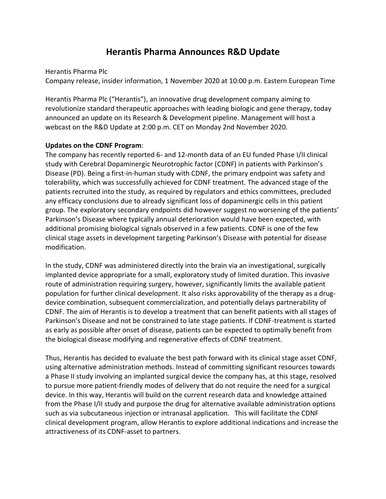# **Herantis Pharma Announces R&D Update**

Herantis Pharma Plc

Company release, insider information, 1 November 2020 at 10:00 p.m. Eastern European Time

Herantis Pharma Plc ("Herantis"), an innovative drug development company aiming to revolutionize standard therapeutic approaches with leading biologic and gene therapy, today announced an update on its Research & Development pipeline. Management will host a webcast on the R&D Update at 2:00 p.m. CET on Monday 2nd November 2020.

## **Updates on the CDNF Program**:

The company has recently reported 6- and 12-month data of an EU funded Phase I/II clinical study with Cerebral Dopaminergic Neurotrophic factor (CDNF) in patients with Parkinson's Disease (PD). Being a first-in-human study with CDNF, the primary endpoint was safety and tolerability, which was successfully achieved for CDNF treatment. The advanced stage of the patients recruited into the study, as required by regulators and ethics committees, precluded any efficacy conclusions due to already significant loss of dopaminergic cells in this patient group. The exploratory secondary endpoints did however suggest no worsening of the patients' Parkinson's Disease where typically annual deterioration would have been expected, with additional promising biological signals observed in a few patients. CDNF is one of the few clinical stage assets in development targeting Parkinson's Disease with potential for disease modification.

In the study, CDNF was administered directly into the brain via an investigational, surgically implanted device appropriate for a small, exploratory study of limited duration. This invasive route of administration requiring surgery, however, significantly limits the available patient population for further clinical development. It also risks approvability of the therapy as a drugdevice combination, subsequent commercialization, and potentially delays partnerability of CDNF. The aim of Herantis is to develop a treatment that can benefit patients with all stages of Parkinson's Disease and not be constrained to late stage patients. If CDNF-treatment is started as early as possible after onset of disease, patients can be expected to optimally benefit from the biological disease modifying and regenerative effects of CDNF treatment.

Thus, Herantis has decided to evaluate the best path forward with its clinical stage asset CDNF, using alternative administration methods. Instead of committing significant resources towards a Phase II study involving an implanted surgical device the company has, at this stage, resolved to pursue more patient-friendly modes of delivery that do not require the need for a surgical device. In this way, Herantis will build on the current research data and knowledge attained from the Phase I/II study and purpose the drug for alternative available administration options such as via subcutaneous injection or intranasal application. This will facilitate the CDNF clinical development program, allow Herantis to explore additional indications and increase the attractiveness of its CDNF-asset to partners.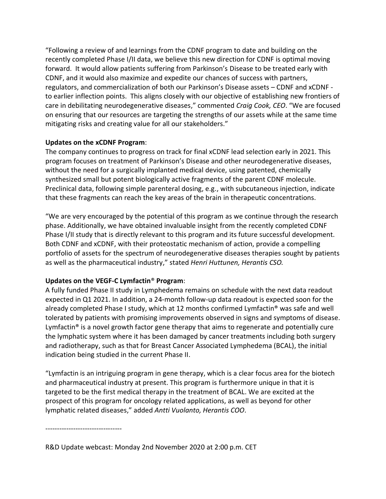"Following a review of and learnings from the CDNF program to date and building on the recently completed Phase I/II data, we believe this new direction for CDNF is optimal moving forward. It would allow patients suffering from Parkinson's Disease to be treated early with CDNF, and it would also maximize and expedite our chances of success with partners, regulators, and commercialization of both our Parkinson's Disease assets – CDNF and xCDNF to earlier inflection points. This aligns closely with our objective of establishing new frontiers of care in debilitating neurodegenerative diseases," commented *Craig Cook, CEO*. "We are focused on ensuring that our resources are targeting the strengths of our assets while at the same time mitigating risks and creating value for all our stakeholders."

## **Updates on the xCDNF Program**:

The company continues to progress on track for final xCDNF lead selection early in 2021. This program focuses on treatment of Parkinson's Disease and other neurodegenerative diseases, without the need for a surgically implanted medical device, using patented, chemically synthesized small but potent biologically active fragments of the parent CDNF molecule. Preclinical data, following simple parenteral dosing, e.g., with subcutaneous injection, indicate that these fragments can reach the key areas of the brain in therapeutic concentrations.

"We are very encouraged by the potential of this program as we continue through the research phase. Additionally, we have obtained invaluable insight from the recently completed CDNF Phase I/II study that is directly relevant to this program and its future successful development. Both CDNF and xCDNF, with their proteostatic mechanism of action, provide a compelling portfolio of assets for the spectrum of neurodegenerative diseases therapies sought by patients as well as the pharmaceutical industry," stated *Henri Huttunen, Herantis CSO.*

## **Updates on the VEGF-C Lymfactin**® **Program**:

A fully funded Phase II study in Lymphedema remains on schedule with the next data readout expected in Q1 2021. In addition, a 24-month follow-up data readout is expected soon for the already completed Phase I study, which at 12 months confirmed Lymfactin® was safe and well tolerated by patients with promising improvements observed in signs and symptoms of disease. Lymfactin<sup>®</sup> is a novel growth factor gene therapy that aims to regenerate and potentially cure the lymphatic system where it has been damaged by cancer treatments including both surgery and radiotherapy, such as that for Breast Cancer Associated Lymphedema (BCAL), the initial indication being studied in the current Phase II.

"Lymfactin is an intriguing program in gene therapy, which is a clear focus area for the biotech and pharmaceutical industry at present. This program is furthermore unique in that it is targeted to be the first medical therapy in the treatment of BCAL. We are excited at the prospect of this program for oncology related applications, as well as beyond for other lymphatic related diseases," added *Antti Vuolanto, Herantis COO*.

---------------------------------

R&D Update webcast: Monday 2nd November 2020 at 2:00 p.m. CET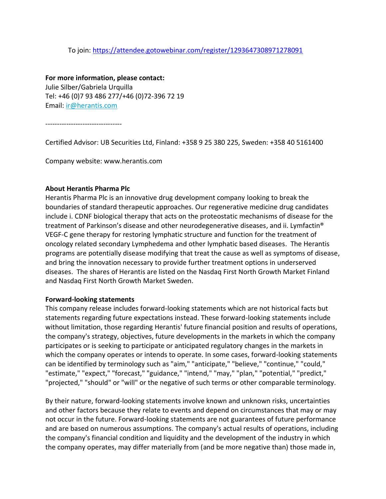#### To join:<https://attendee.gotowebinar.com/register/1293647308971278091>

**For more information, please contact:** Julie Silber/Gabriela Urquilla Tel: +46 (0)7 93 486 277/+46 (0)72-396 72 19 Email: [ir@herantis.com](mailto:ir@herantis.com)

---------------------------------

Certified Advisor: UB Securities Ltd, Finland: +358 9 25 380 225, Sweden: +358 40 5161400

Company website: www.herantis.com

#### **About Herantis Pharma Plc**

Herantis Pharma Plc is an innovative drug development company looking to break the boundaries of standard therapeutic approaches. Our regenerative medicine drug candidates include i. CDNF biological therapy that acts on the proteostatic mechanisms of disease for the treatment of Parkinson's disease and other neurodegenerative diseases, and ii. Lymfactin® VEGF-C gene therapy for restoring lymphatic structure and function for the treatment of oncology related secondary Lymphedema and other lymphatic based diseases. The Herantis programs are potentially disease modifying that treat the cause as well as symptoms of disease, and bring the innovation necessary to provide further treatment options in underserved diseases. The shares of Herantis are listed on the Nasdaq First North Growth Market Finland and Nasdaq First North Growth Market Sweden.

#### **Forward-looking statements**

This company release includes forward-looking statements which are not historical facts but statements regarding future expectations instead. These forward-looking statements include without limitation, those regarding Herantis' future financial position and results of operations, the company's strategy, objectives, future developments in the markets in which the company participates or is seeking to participate or anticipated regulatory changes in the markets in which the company operates or intends to operate. In some cases, forward-looking statements can be identified by terminology such as "aim," "anticipate," "believe," "continue," "could," "estimate," "expect," "forecast," "guidance," "intend," "may," "plan," "potential," "predict," "projected," "should" or "will" or the negative of such terms or other comparable terminology.

By their nature, forward-looking statements involve known and unknown risks, uncertainties and other factors because they relate to events and depend on circumstances that may or may not occur in the future. Forward-looking statements are not guarantees of future performance and are based on numerous assumptions. The company's actual results of operations, including the company's financial condition and liquidity and the development of the industry in which the company operates, may differ materially from (and be more negative than) those made in,